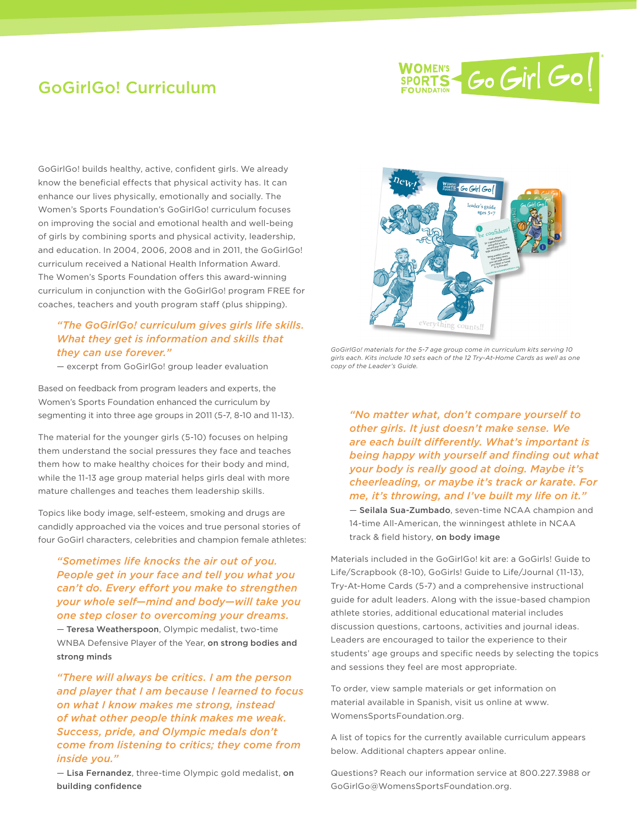

# GoGirlGo! Curriculum

GoGirlGo! builds healthy, active, confident girls. We already know the beneficial effects that physical activity has. It can enhance our lives physically, emotionally and socially. The Women's Sports Foundation's GoGirlGo! curriculum focuses on improving the social and emotional health and well-being of girls by combining sports and physical activity, leadership, and education. In 2004, 2006, 2008 and in 2011, the GoGirlGo! curriculum received a National Health Information Award. The Women's Sports Foundation offers this award-winning curriculum in conjunction with the GoGirlGo! program FREE for coaches, teachers and youth program staff (plus shipping).

## *"The GoGirlGo! curriculum gives girls life skills. What they get is information and skills that they can use forever."*

— excerpt from GoGirlGo! group leader evaluation

Based on feedback from program leaders and experts, the Women's Sports Foundation enhanced the curriculum by segmenting it into three age groups in 2011 (5-7, 8-10 and 11-13).

The material for the younger girls (5-10) focuses on helping them understand the social pressures they face and teaches them how to make healthy choices for their body and mind, while the 11-13 age group material helps girls deal with more mature challenges and teaches them leadership skills.

Topics like body image, self-esteem, smoking and drugs are candidly approached via the voices and true personal stories of four GoGirl characters, celebrities and champion female athletes:

## *"Sometimes life knocks the air out of you. People get in your face and tell you what you can't do. Every effort you make to strengthen your whole self—mind and body—will take you one step closer to overcoming your dreams.*

— Teresa Weatherspoon, Olympic medalist, two-time WNBA Defensive Player of the Year, on strong bodies and strong minds

*"There will always be critics. I am the person and player that I am because I learned to focus on what I know makes me strong, instead of what other people think makes me weak. Success, pride, and Olympic medals don't come from listening to critics; they come from inside you."*

— Lisa Fernandez, three-time Olympic gold medalist, on building confidence



*GoGirlGo! materials for the 5-7 age group come in curriculum kits serving 10 girls each. Kits include 10 sets each of the 12 Try-At-Home Cards as well as one copy of the Leader's Guide.*

*"No matter what, don't compare yourself to other girls. It just doesn't make sense. We are each built differently. What's important is being happy with yourself and finding out what your body is really good at doing. Maybe it's cheerleading, or maybe it's track or karate. For me, it's throwing, and I've built my life on it."* — Seilala Sua-Zumbado, seven-time NCAA champion and 14-time All-American, the winningest athlete in NCAA track & field history, on body image

Materials included in the GoGirlGo! kit are: a GoGirls! Guide to Life/Scrapbook (8-10), GoGirls! Guide to Life/Journal (11-13), Try-At-Home Cards (5-7) and a comprehensive instructional guide for adult leaders. Along with the issue-based champion athlete stories, additional educational material includes discussion questions, cartoons, activities and journal ideas. Leaders are encouraged to tailor the experience to their students' age groups and specific needs by selecting the topics and sessions they feel are most appropriate.

To order, view sample materials or get information on material available in Spanish, visit us online at www. WomensSportsFoundation.org.

A list of topics for the currently available curriculum appears below. Additional chapters appear online.

Questions? Reach our information service at 800.227.3988 or GoGirlGo@WomensSportsFoundation.org.